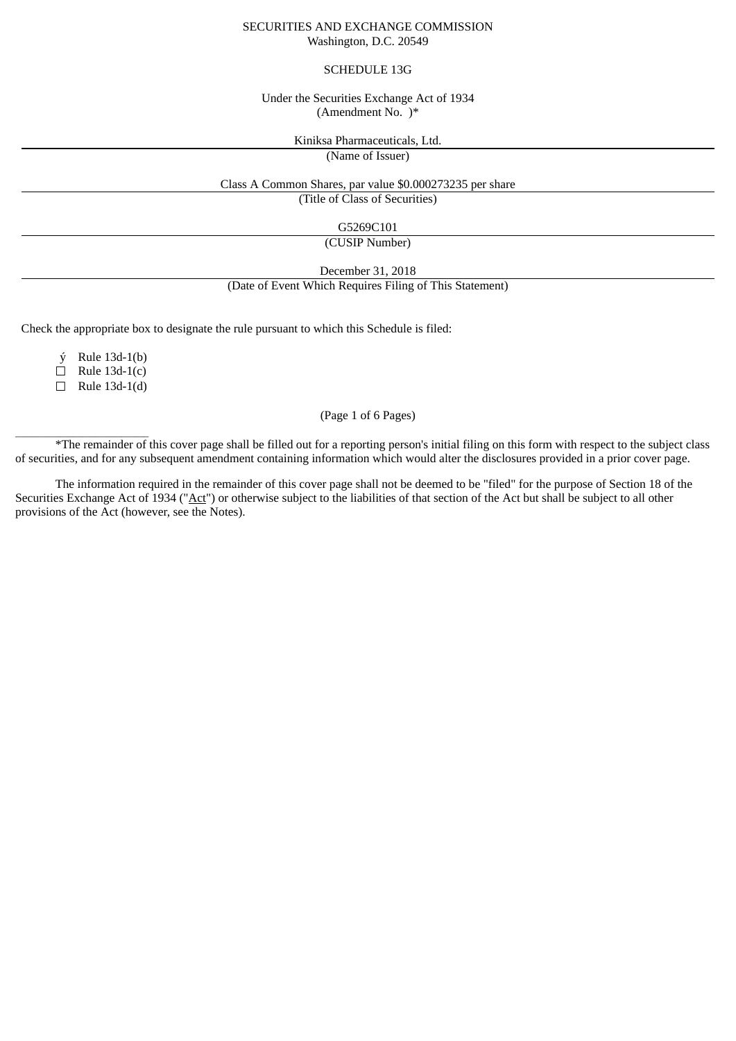#### SECURITIES AND EXCHANGE COMMISSION Washington, D.C. 20549

# SCHEDULE 13G

# Under the Securities Exchange Act of 1934 (Amendment No. )\*

Kiniksa Pharmaceuticals, Ltd.

(Name of Issuer)

Class A Common Shares, par value \$0.000273235 per share

(Title of Class of Securities)

G5269C101

(CUSIP Number)

December 31, 2018

(Date of Event Which Requires Filing of This Statement)

Check the appropriate box to designate the rule pursuant to which this Schedule is filed:

ý Rule 13d-1(b)

 $\Box$  Rule 13d-1(c)

☐ Rule 13d-1(d)

 $\frac{1}{2}$  ,  $\frac{1}{2}$  ,  $\frac{1}{2}$  ,  $\frac{1}{2}$  ,  $\frac{1}{2}$  ,  $\frac{1}{2}$  ,  $\frac{1}{2}$  ,  $\frac{1}{2}$  ,  $\frac{1}{2}$  ,  $\frac{1}{2}$  ,  $\frac{1}{2}$  ,  $\frac{1}{2}$  ,  $\frac{1}{2}$  ,  $\frac{1}{2}$  ,  $\frac{1}{2}$  ,  $\frac{1}{2}$  ,  $\frac{1}{2}$  ,  $\frac{1}{2}$  ,  $\frac{1$ 

(Page 1 of 6 Pages)

\*The remainder of this cover page shall be filled out for a reporting person's initial filing on this form with respect to the subject class of securities, and for any subsequent amendment containing information which would alter the disclosures provided in a prior cover page.

The information required in the remainder of this cover page shall not be deemed to be "filed" for the purpose of Section 18 of the Securities Exchange Act of 1934 ("Act") or otherwise subject to the liabilities of that section of the Act but shall be subject to all other provisions of the Act (however, see the Notes).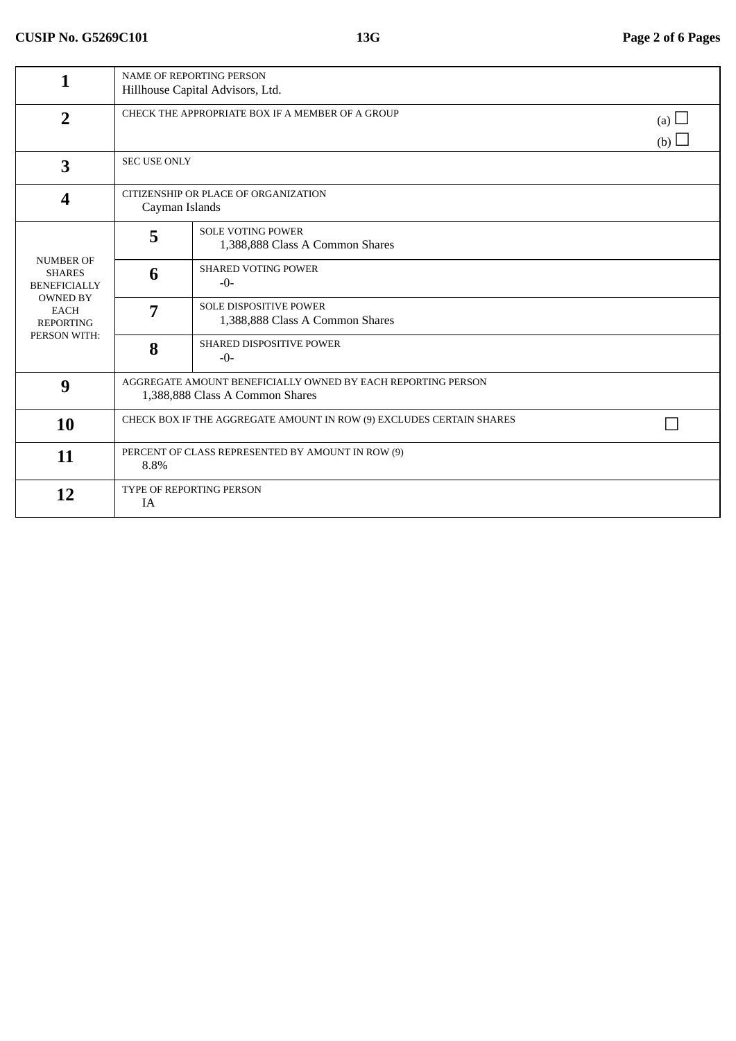| 1                                                                                                                              | <b>NAME OF REPORTING PERSON</b><br>Hillhouse Capital Advisors, Ltd.                             |                                                                  |  |  |  |
|--------------------------------------------------------------------------------------------------------------------------------|-------------------------------------------------------------------------------------------------|------------------------------------------------------------------|--|--|--|
| $\overline{2}$                                                                                                                 | CHECK THE APPROPRIATE BOX IF A MEMBER OF A GROUP                                                | (a) $\Box$<br>(b) $\Box$                                         |  |  |  |
| 3                                                                                                                              | <b>SEC USE ONLY</b>                                                                             |                                                                  |  |  |  |
| $\boldsymbol{4}$                                                                                                               | CITIZENSHIP OR PLACE OF ORGANIZATION<br>Cayman Islands                                          |                                                                  |  |  |  |
| <b>NUMBER OF</b><br><b>SHARES</b><br><b>BENEFICIALLY</b><br><b>OWNED BY</b><br><b>EACH</b><br><b>REPORTING</b><br>PERSON WITH: | 5                                                                                               | <b>SOLE VOTING POWER</b><br>1,388,888 Class A Common Shares      |  |  |  |
|                                                                                                                                | 6                                                                                               | <b>SHARED VOTING POWER</b><br>$-0-$                              |  |  |  |
|                                                                                                                                | 7                                                                                               | <b>SOLE DISPOSITIVE POWER</b><br>1,388,888 Class A Common Shares |  |  |  |
|                                                                                                                                | 8                                                                                               | <b>SHARED DISPOSITIVE POWER</b><br>$-0-$                         |  |  |  |
| 9                                                                                                                              | AGGREGATE AMOUNT BENEFICIALLY OWNED BY EACH REPORTING PERSON<br>1,388,888 Class A Common Shares |                                                                  |  |  |  |
| 10                                                                                                                             | CHECK BOX IF THE AGGREGATE AMOUNT IN ROW (9) EXCLUDES CERTAIN SHARES                            |                                                                  |  |  |  |
| 11                                                                                                                             | PERCENT OF CLASS REPRESENTED BY AMOUNT IN ROW (9)<br>8.8%                                       |                                                                  |  |  |  |
| 12                                                                                                                             | TYPE OF REPORTING PERSON<br>ΙA                                                                  |                                                                  |  |  |  |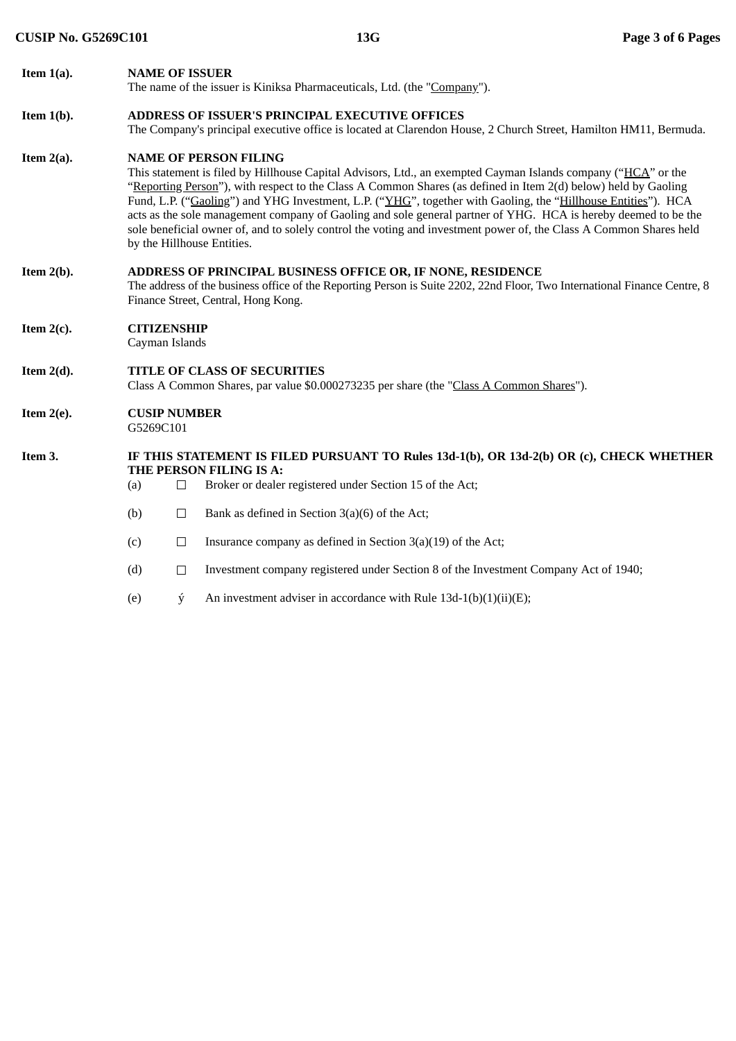| Item $1(a)$ .                      | <b>NAME OF ISSUER</b>                                                                                                                                                                                                                                                                                                                                                                                                                                                                                                                                                                                                                                  |        |                                                                                          |  |  |  |
|------------------------------------|--------------------------------------------------------------------------------------------------------------------------------------------------------------------------------------------------------------------------------------------------------------------------------------------------------------------------------------------------------------------------------------------------------------------------------------------------------------------------------------------------------------------------------------------------------------------------------------------------------------------------------------------------------|--------|------------------------------------------------------------------------------------------|--|--|--|
|                                    |                                                                                                                                                                                                                                                                                                                                                                                                                                                                                                                                                                                                                                                        |        | The name of the issuer is Kiniksa Pharmaceuticals, Ltd. (the "Company").                 |  |  |  |
| Item $1(b)$ .                      | <b>ADDRESS OF ISSUER'S PRINCIPAL EXECUTIVE OFFICES</b>                                                                                                                                                                                                                                                                                                                                                                                                                                                                                                                                                                                                 |        |                                                                                          |  |  |  |
|                                    | The Company's principal executive office is located at Clarendon House, 2 Church Street, Hamilton HM11, Bermuda.                                                                                                                                                                                                                                                                                                                                                                                                                                                                                                                                       |        |                                                                                          |  |  |  |
| Item $2(a)$ .                      | <b>NAME OF PERSON FILING</b><br>This statement is filed by Hillhouse Capital Advisors, Ltd., an exempted Cayman Islands company ("HCA" or the<br>"Reporting Person"), with respect to the Class A Common Shares (as defined in Item 2(d) below) held by Gaoling<br>Fund, L.P. ("Gaoling") and YHG Investment, L.P. ("YHG", together with Gaoling, the "Hillhouse Entities"). HCA<br>acts as the sole management company of Gaoling and sole general partner of YHG. HCA is hereby deemed to be the<br>sole beneficial owner of, and to solely control the voting and investment power of, the Class A Common Shares held<br>by the Hillhouse Entities. |        |                                                                                          |  |  |  |
| Item $2(b)$ .                      | ADDRESS OF PRINCIPAL BUSINESS OFFICE OR, IF NONE, RESIDENCE<br>The address of the business office of the Reporting Person is Suite 2202, 22nd Floor, Two International Finance Centre, 8<br>Finance Street, Central, Hong Kong.                                                                                                                                                                                                                                                                                                                                                                                                                        |        |                                                                                          |  |  |  |
| Item $2(c)$ .                      | <b>CITIZENSHIP</b><br>Cayman Islands                                                                                                                                                                                                                                                                                                                                                                                                                                                                                                                                                                                                                   |        |                                                                                          |  |  |  |
| Item $2(d)$ .                      | <b>TITLE OF CLASS OF SECURITIES</b><br>Class A Common Shares, par value \$0.000273235 per share (the "Class A Common Shares").                                                                                                                                                                                                                                                                                                                                                                                                                                                                                                                         |        |                                                                                          |  |  |  |
| Item $2(e)$ .                      | <b>CUSIP NUMBER</b><br>G5269C101                                                                                                                                                                                                                                                                                                                                                                                                                                                                                                                                                                                                                       |        |                                                                                          |  |  |  |
| Item 3.<br>THE PERSON FILING IS A: |                                                                                                                                                                                                                                                                                                                                                                                                                                                                                                                                                                                                                                                        |        | IF THIS STATEMENT IS FILED PURSUANT TO Rules 13d-1(b), OR 13d-2(b) OR (c), CHECK WHETHER |  |  |  |
|                                    | (a)                                                                                                                                                                                                                                                                                                                                                                                                                                                                                                                                                                                                                                                    | $\Box$ | Broker or dealer registered under Section 15 of the Act;                                 |  |  |  |
|                                    | (b)                                                                                                                                                                                                                                                                                                                                                                                                                                                                                                                                                                                                                                                    | $\Box$ | Bank as defined in Section $3(a)(6)$ of the Act;                                         |  |  |  |
|                                    | (c)                                                                                                                                                                                                                                                                                                                                                                                                                                                                                                                                                                                                                                                    | $\Box$ | Insurance company as defined in Section $3(a)(19)$ of the Act;                           |  |  |  |
|                                    | (d)                                                                                                                                                                                                                                                                                                                                                                                                                                                                                                                                                                                                                                                    | $\Box$ | Investment company registered under Section 8 of the Investment Company Act of 1940;     |  |  |  |

(e)  $\dot{y}$  An investment adviser in accordance with Rule 13d-1(b)(1)(ii)(E);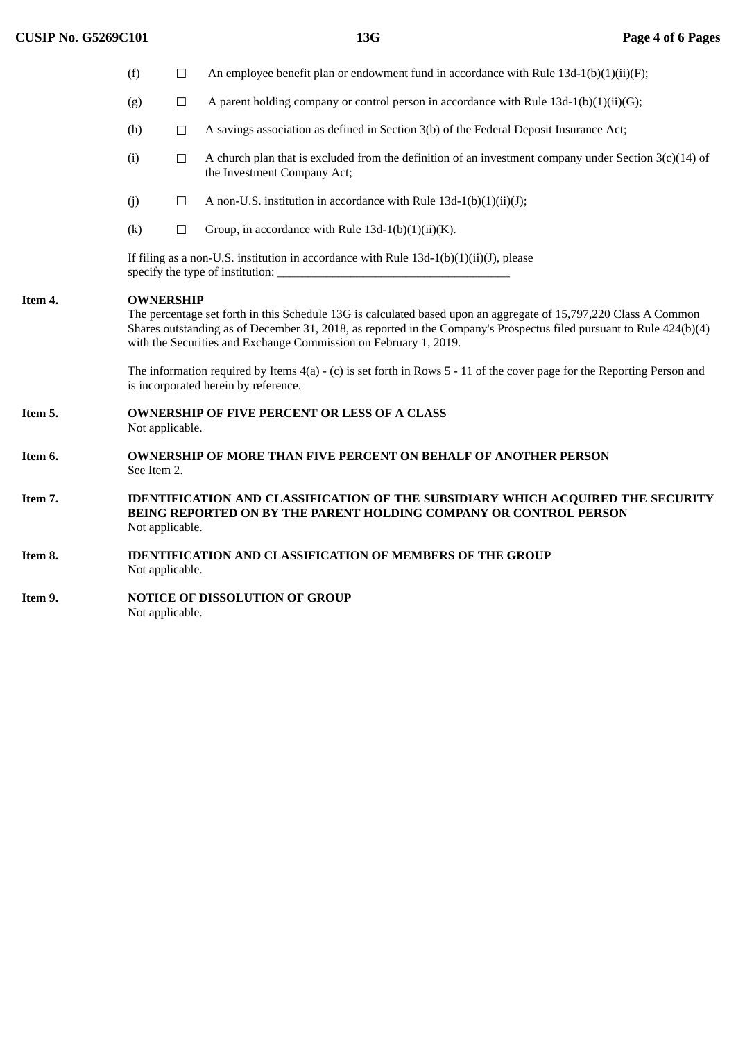|         | (f)                                                                                                                                                               | $\Box$                                                                                                                                                                                                                                                                                                                           | An employee benefit plan or endowment fund in accordance with Rule $13d-1(b)(1)(ii)(F)$ ;                                              |  |  |
|---------|-------------------------------------------------------------------------------------------------------------------------------------------------------------------|----------------------------------------------------------------------------------------------------------------------------------------------------------------------------------------------------------------------------------------------------------------------------------------------------------------------------------|----------------------------------------------------------------------------------------------------------------------------------------|--|--|
|         | (g)                                                                                                                                                               | $\Box$                                                                                                                                                                                                                                                                                                                           | A parent holding company or control person in accordance with Rule $13d-1(b)(1)(ii)(G);$                                               |  |  |
|         | (h)                                                                                                                                                               | $\Box$                                                                                                                                                                                                                                                                                                                           | A savings association as defined in Section 3(b) of the Federal Deposit Insurance Act;                                                 |  |  |
|         | (i)                                                                                                                                                               | $\Box$                                                                                                                                                                                                                                                                                                                           | A church plan that is excluded from the definition of an investment company under Section $3(c)(14)$ of<br>the Investment Company Act; |  |  |
|         | (j)                                                                                                                                                               | $\Box$                                                                                                                                                                                                                                                                                                                           | A non-U.S. institution in accordance with Rule $13d-1(b)(1)(ii)(J);$                                                                   |  |  |
|         | (k)                                                                                                                                                               | $\Box$                                                                                                                                                                                                                                                                                                                           | Group, in accordance with Rule $13d-1(b)(1)(ii)(K)$ .                                                                                  |  |  |
|         | If filing as a non-U.S. institution in accordance with Rule $13d-1(b)(1)(ii)(J)$ , please                                                                         |                                                                                                                                                                                                                                                                                                                                  |                                                                                                                                        |  |  |
| Item 4. |                                                                                                                                                                   | <b>OWNERSHIP</b><br>The percentage set forth in this Schedule 13G is calculated based upon an aggregate of 15,797,220 Class A Common<br>Shares outstanding as of December 31, 2018, as reported in the Company's Prospectus filed pursuant to Rule 424(b)(4)<br>with the Securities and Exchange Commission on February 1, 2019. |                                                                                                                                        |  |  |
|         | The information required by Items $4(a)$ - (c) is set forth in Rows 5 - 11 of the cover page for the Reporting Person and<br>is incorporated herein by reference. |                                                                                                                                                                                                                                                                                                                                  |                                                                                                                                        |  |  |
| Item 5. |                                                                                                                                                                   | <b>OWNERSHIP OF FIVE PERCENT OR LESS OF A CLASS</b><br>Not applicable.                                                                                                                                                                                                                                                           |                                                                                                                                        |  |  |
| Item 6. |                                                                                                                                                                   | <b>OWNERSHIP OF MORE THAN FIVE PERCENT ON BEHALF OF ANOTHER PERSON</b><br>See Item 2.                                                                                                                                                                                                                                            |                                                                                                                                        |  |  |
| Item 7. |                                                                                                                                                                   | <b>IDENTIFICATION AND CLASSIFICATION OF THE SUBSIDIARY WHICH ACQUIRED THE SECURITY</b><br>BEING REPORTED ON BY THE PARENT HOLDING COMPANY OR CONTROL PERSON<br>Not applicable.                                                                                                                                                   |                                                                                                                                        |  |  |
| Item 8. |                                                                                                                                                                   | <b>IDENTIFICATION AND CLASSIFICATION OF MEMBERS OF THE GROUP</b><br>Not applicable.                                                                                                                                                                                                                                              |                                                                                                                                        |  |  |
| Item 9. |                                                                                                                                                                   | <b>NOTICE OF DISSOLUTION OF GROUP</b><br>Not applicable.                                                                                                                                                                                                                                                                         |                                                                                                                                        |  |  |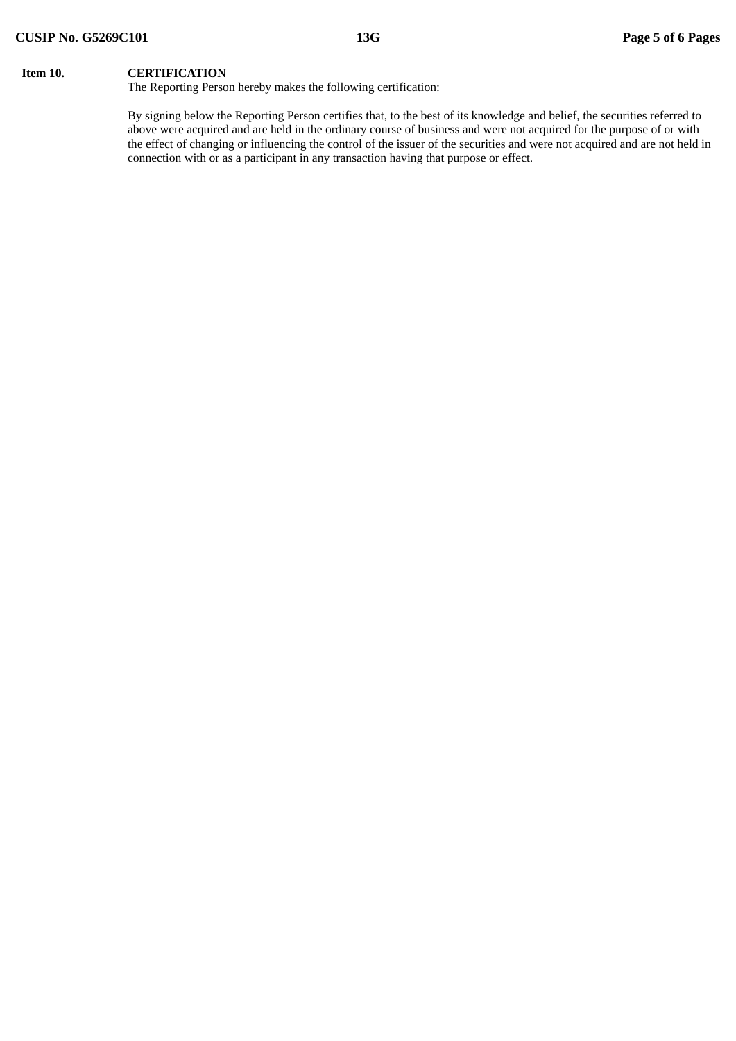# **Item 10. CERTIFICATION**

The Reporting Person hereby makes the following certification:

By signing below the Reporting Person certifies that, to the best of its knowledge and belief, the securities referred to above were acquired and are held in the ordinary course of business and were not acquired for the purpose of or with the effect of changing or influencing the control of the issuer of the securities and were not acquired and are not held in connection with or as a participant in any transaction having that purpose or effect.